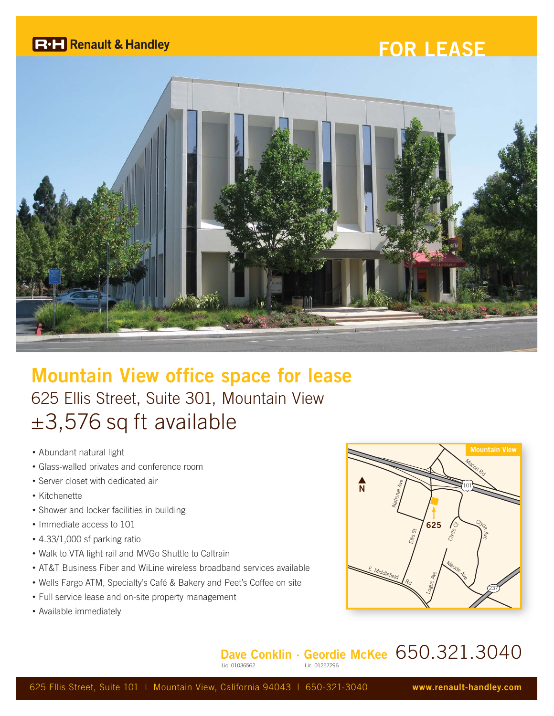## **R**<sup>1</sup> Renault & Handley

## **FOR LEASE**



## **Mountain View office space for lease** 625 Ellis Street, Suite 301, Mountain View ±3,576 sq ft available

- Abundant natural light
- Glass-walled privates and conference room
- Server closet with dedicated air
- Kitchenette
- Shower and locker facilities in building
- Immediate access to 101
- 4.33/1,000 sf parking ratio
- Walk to VTA light rail and MVGo Shuttle to Caltrain
- AT&T Business Fiber and WiLine wireless broadband services available
- Wells Fargo ATM, Specialty's Café & Bakery and Peet's Coffee on site
- Full service lease and on-site property management
- Available immediately



**Dave Conklin · Geordie McKee** 650.321.3040  $Lie. 012572966$